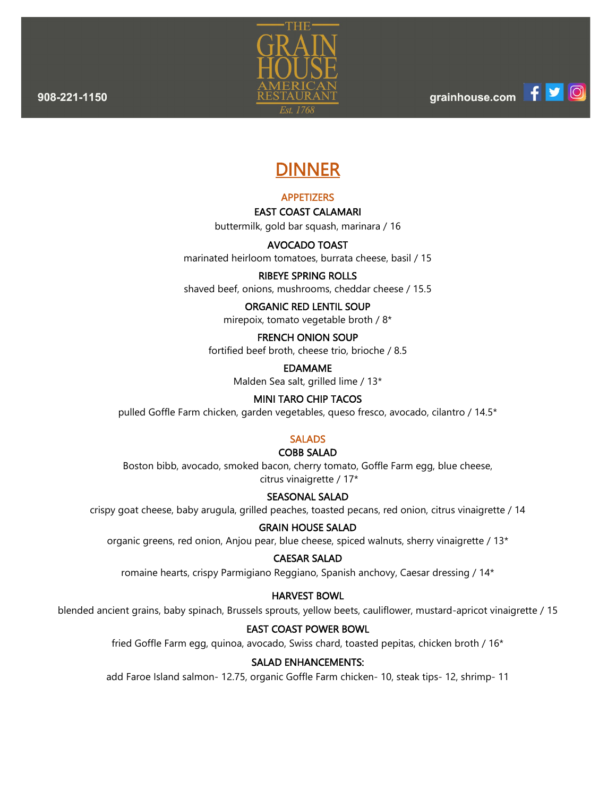ത്ര



# DINNER

# APPETIZERS

#### EAST COAST CALAMARI

buttermilk, gold bar squash, marinara / 16

# AVOCADO TOAST

marinated heirloom tomatoes, burrata cheese, basil / 15

# RIBEYE SPRING ROLLS

shaved beef, onions, mushrooms, cheddar cheese / 15.5

# ORGANIC RED LENTIL SOUP

mirepoix, tomato vegetable broth / 8\*

# FRENCH ONION SOUP

fortified beef broth, cheese trio, brioche / 8.5

EDAMAME

Malden Sea salt, grilled lime / 13\*

# MINI TARO CHIP TACOS

pulled Goffle Farm chicken, garden vegetables, queso fresco, avocado, cilantro / 14.5\*

# **SALADS**

# COBB SALAD

Boston bibb, avocado, smoked bacon, cherry tomato, Goffle Farm egg, blue cheese, citrus vinaigrette / 17\*

#### SEASONAL SALAD

crispy goat cheese, baby arugula, grilled peaches, toasted pecans, red onion, citrus vinaigrette / 14

#### GRAIN HOUSE SALAD

organic greens, red onion, Anjou pear, blue cheese, spiced walnuts, sherry vinaigrette / 13\*

#### CAESAR SALAD

romaine hearts, crispy Parmigiano Reggiano, Spanish anchovy, Caesar dressing / 14\*

#### HARVEST BOWL

blended ancient grains, baby spinach, Brussels sprouts, yellow beets, cauliflower, mustard-apricot vinaigrette / 15

#### EAST COAST POWER BOWL

fried Goffle Farm egg, quinoa, avocado, Swiss chard, toasted pepitas, chicken broth / 16\*

# SALAD ENHANCEMENTS:

add Faroe Island salmon- 12.75, organic Goffle Farm chicken- 10, steak tips- 12, shrimp- 11